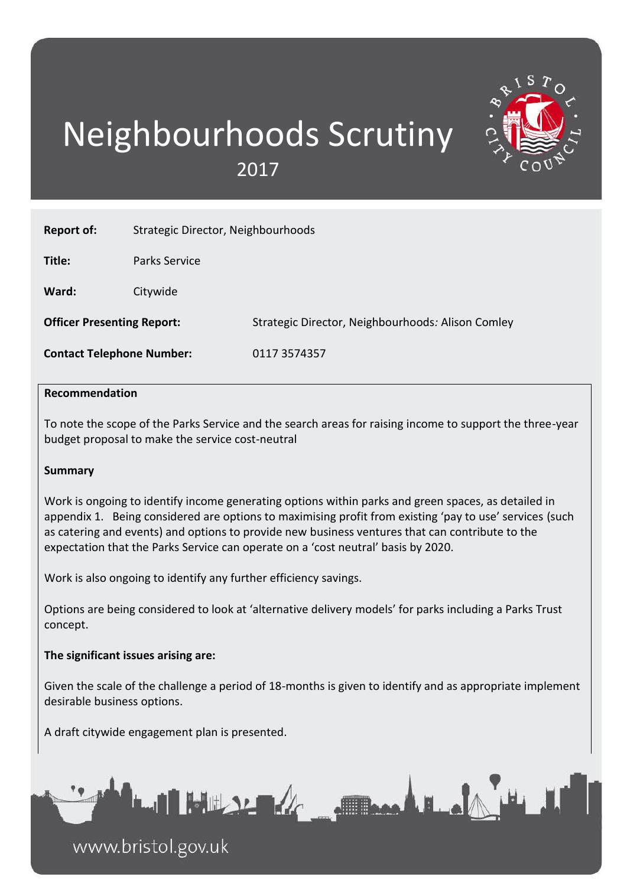# Neighbourhoods Scrutiny 2017

| <b>Report of:</b>                 | Strategic Director, Neighbourhoods |                                                   |  |  |
|-----------------------------------|------------------------------------|---------------------------------------------------|--|--|
| Title:                            | Parks Service                      |                                                   |  |  |
| Ward:                             | Citywide                           |                                                   |  |  |
| <b>Officer Presenting Report:</b> |                                    | Strategic Director, Neighbourhoods: Alison Comley |  |  |
| <b>Contact Telephone Number:</b>  |                                    | 0117 3574357                                      |  |  |
|                                   |                                    |                                                   |  |  |

#### **Recommendation**

To note the scope of the Parks Service and the search areas for raising income to support the three-year budget proposal to make the service cost-neutral

#### **Summary**

Work is ongoing to identify income generating options within parks and green spaces, as detailed in appendix 1. Being considered are options to maximising profit from existing 'pay to use' services (such as catering and events) and options to provide new business ventures that can contribute to the expectation that the Parks Service can operate on a 'cost neutral' basis by 2020.

Work is also ongoing to identify any further efficiency savings.

Options are being considered to look at 'alternative delivery models' for parks including a Parks Trust concept.

#### **The significant issues arising are:**

Given the scale of the challenge a period of 18-months is given to identify and as appropriate implement desirable business options.

A draft citywide engagement plan is presented.



www.bristol.gov.uk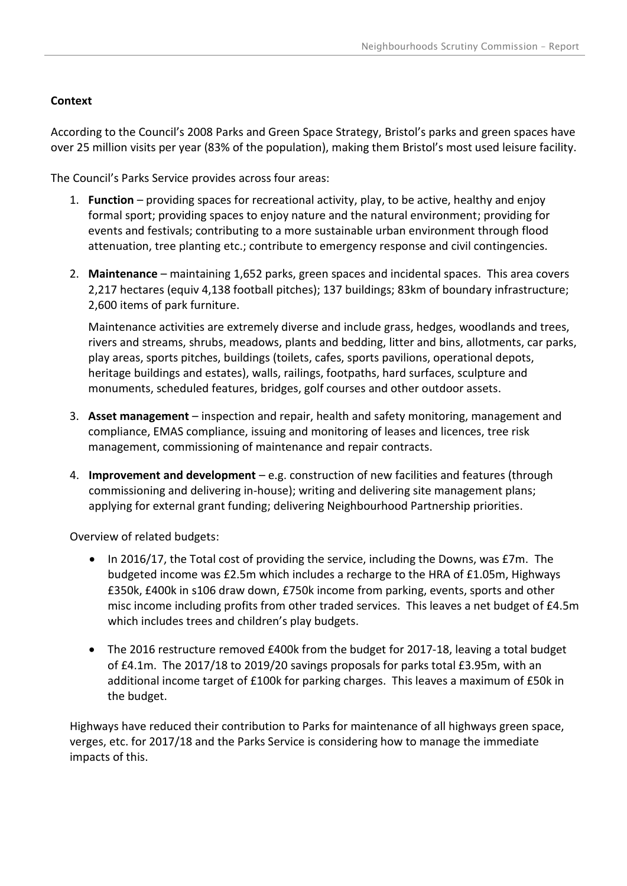### **Context**

According to the Council's 2008 Parks and Green Space Strategy, Bristol's parks and green spaces have over 25 million visits per year (83% of the population), making them Bristol's most used leisure facility.

The Council's Parks Service provides across four areas:

- 1. **Function** providing spaces for recreational activity, play, to be active, healthy and enjoy formal sport; providing spaces to enjoy nature and the natural environment; providing for events and festivals; contributing to a more sustainable urban environment through flood attenuation, tree planting etc.; contribute to emergency response and civil contingencies.
- 2. **Maintenance** maintaining 1,652 parks, green spaces and incidental spaces. This area covers 2,217 hectares (equiv 4,138 football pitches); 137 buildings; 83km of boundary infrastructure; 2,600 items of park furniture.

Maintenance activities are extremely diverse and include grass, hedges, woodlands and trees, rivers and streams, shrubs, meadows, plants and bedding, litter and bins, allotments, car parks, play areas, sports pitches, buildings (toilets, cafes, sports pavilions, operational depots, heritage buildings and estates), walls, railings, footpaths, hard surfaces, sculpture and monuments, scheduled features, bridges, golf courses and other outdoor assets.

- 3. **Asset management** inspection and repair, health and safety monitoring, management and compliance, EMAS compliance, issuing and monitoring of leases and licences, tree risk management, commissioning of maintenance and repair contracts.
- 4. **Improvement and development** e.g. construction of new facilities and features (through commissioning and delivering in-house); writing and delivering site management plans; applying for external grant funding; delivering Neighbourhood Partnership priorities.

Overview of related budgets:

- In 2016/17, the Total cost of providing the service, including the Downs, was £7m. The budgeted income was £2.5m which includes a recharge to the HRA of £1.05m, Highways £350k, £400k in s106 draw down, £750k income from parking, events, sports and other misc income including profits from other traded services. This leaves a net budget of £4.5m which includes trees and children's play budgets.
- The 2016 restructure removed £400k from the budget for 2017-18, leaving a total budget of £4.1m. The 2017/18 to 2019/20 savings proposals for parks total £3.95m, with an additional income target of £100k for parking charges. This leaves a maximum of £50k in the budget.

Highways have reduced their contribution to Parks for maintenance of all highways green space, verges, etc. for 2017/18 and the Parks Service is considering how to manage the immediate impacts of this.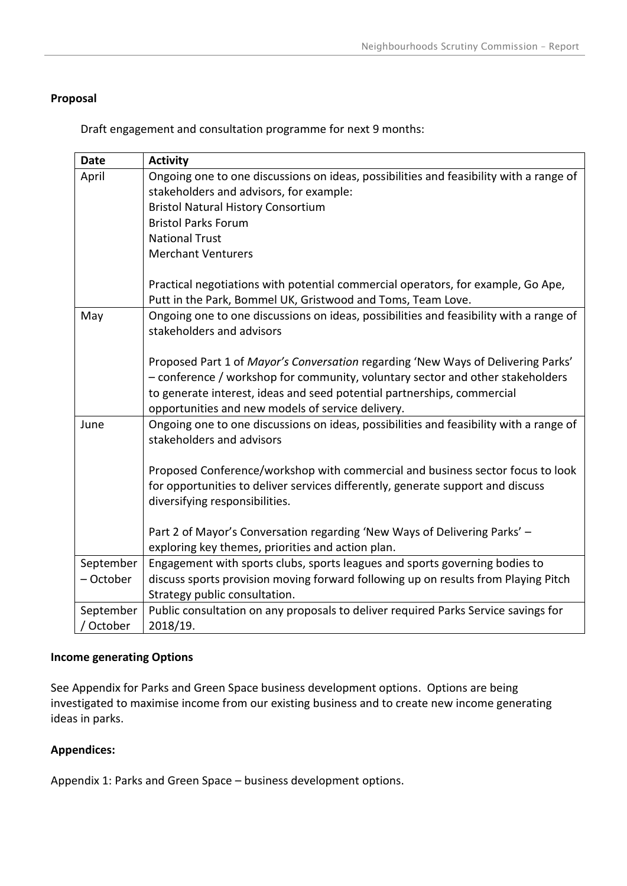#### **Proposal**

Draft engagement and consultation programme for next 9 months:

| <b>Date</b> | <b>Activity</b>                                                                        |
|-------------|----------------------------------------------------------------------------------------|
| April       | Ongoing one to one discussions on ideas, possibilities and feasibility with a range of |
|             | stakeholders and advisors, for example:                                                |
|             | <b>Bristol Natural History Consortium</b>                                              |
|             | <b>Bristol Parks Forum</b>                                                             |
|             | <b>National Trust</b>                                                                  |
|             | <b>Merchant Venturers</b>                                                              |
|             |                                                                                        |
|             | Practical negotiations with potential commercial operators, for example, Go Ape,       |
|             | Putt in the Park, Bommel UK, Gristwood and Toms, Team Love.                            |
| May         | Ongoing one to one discussions on ideas, possibilities and feasibility with a range of |
|             | stakeholders and advisors                                                              |
|             |                                                                                        |
|             | Proposed Part 1 of Mayor's Conversation regarding 'New Ways of Delivering Parks'       |
|             | - conference / workshop for community, voluntary sector and other stakeholders         |
|             | to generate interest, ideas and seed potential partnerships, commercial                |
|             | opportunities and new models of service delivery.                                      |
| June        | Ongoing one to one discussions on ideas, possibilities and feasibility with a range of |
|             | stakeholders and advisors                                                              |
|             |                                                                                        |
|             | Proposed Conference/workshop with commercial and business sector focus to look         |
|             | for opportunities to deliver services differently, generate support and discuss        |
|             | diversifying responsibilities.                                                         |
|             | Part 2 of Mayor's Conversation regarding 'New Ways of Delivering Parks' -              |
|             | exploring key themes, priorities and action plan.                                      |
| September   | Engagement with sports clubs, sports leagues and sports governing bodies to            |
|             |                                                                                        |
| - October   | discuss sports provision moving forward following up on results from Playing Pitch     |
|             | Strategy public consultation.                                                          |
| September   | Public consultation on any proposals to deliver required Parks Service savings for     |
| / October   | 2018/19.                                                                               |

### **Income generating Options**

See Appendix for Parks and Green Space business development options. Options are being investigated to maximise income from our existing business and to create new income generating ideas in parks.

#### **Appendices:**

Appendix 1: Parks and Green Space – business development options.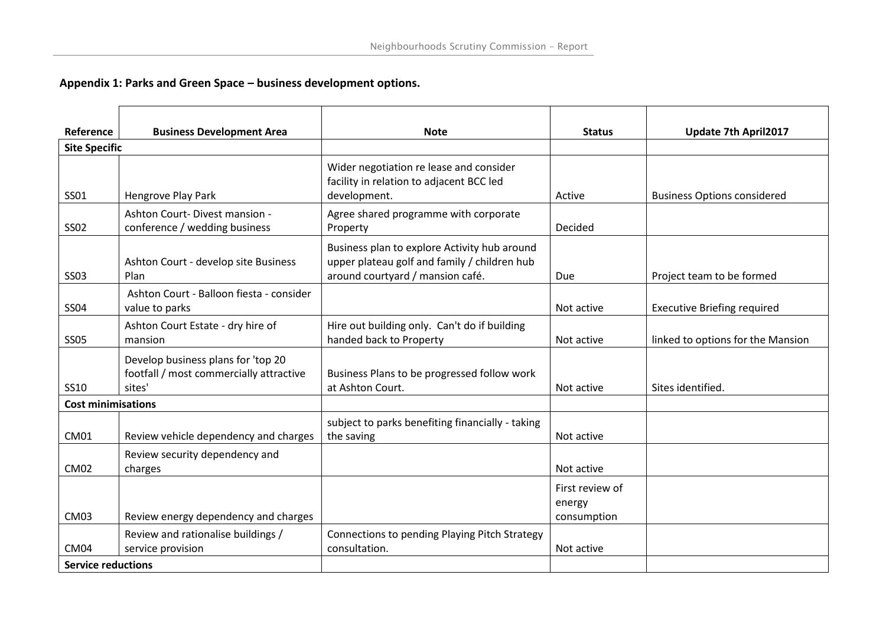## **Appendix 1: Parks and Green Space – business development options.**

| Reference                 | <b>Business Development Area</b>                                                        | <b>Note</b>                                                                                                                      | <b>Status</b>                            | Update 7th April2017               |
|---------------------------|-----------------------------------------------------------------------------------------|----------------------------------------------------------------------------------------------------------------------------------|------------------------------------------|------------------------------------|
| <b>Site Specific</b>      |                                                                                         |                                                                                                                                  |                                          |                                    |
| <b>SS01</b>               | Hengrove Play Park                                                                      | Wider negotiation re lease and consider<br>facility in relation to adjacent BCC led<br>development.                              | Active                                   | <b>Business Options considered</b> |
| <b>SS02</b>               | Ashton Court-Divest mansion -<br>conference / wedding business                          | Agree shared programme with corporate<br>Property                                                                                | Decided                                  |                                    |
| <b>SS03</b>               | Ashton Court - develop site Business<br>Plan                                            | Business plan to explore Activity hub around<br>upper plateau golf and family / children hub<br>around courtyard / mansion café. | Due                                      | Project team to be formed          |
| <b>SS04</b>               | Ashton Court - Balloon fiesta - consider<br>value to parks                              |                                                                                                                                  | Not active                               | <b>Executive Briefing required</b> |
| <b>SS05</b>               | Ashton Court Estate - dry hire of<br>mansion                                            | Hire out building only. Can't do if building<br>handed back to Property                                                          | Not active                               | linked to options for the Mansion  |
| <b>SS10</b>               | Develop business plans for 'top 20<br>footfall / most commercially attractive<br>sites' | Business Plans to be progressed follow work<br>at Ashton Court.                                                                  | Not active                               | Sites identified.                  |
| <b>Cost minimisations</b> |                                                                                         |                                                                                                                                  |                                          |                                    |
| <b>CM01</b>               | Review vehicle dependency and charges                                                   | subject to parks benefiting financially - taking<br>the saving                                                                   | Not active                               |                                    |
| <b>CM02</b>               | Review security dependency and<br>charges                                               |                                                                                                                                  | Not active                               |                                    |
| CM <sub>03</sub>          | Review energy dependency and charges                                                    |                                                                                                                                  | First review of<br>energy<br>consumption |                                    |
| CM <sub>04</sub>          | Review and rationalise buildings /<br>service provision                                 | Connections to pending Playing Pitch Strategy<br>consultation.                                                                   | Not active                               |                                    |
| <b>Service reductions</b> |                                                                                         |                                                                                                                                  |                                          |                                    |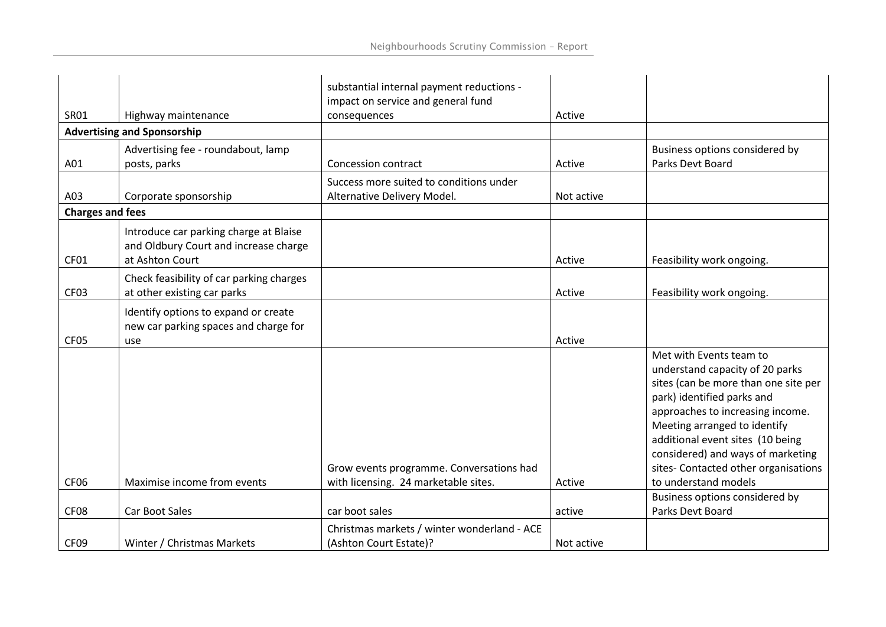|                         |                                                                                 | substantial internal payment reductions -<br>impact on service and general fund  |            |                                                                                                                                                                                                                                                                                                                                                                                 |
|-------------------------|---------------------------------------------------------------------------------|----------------------------------------------------------------------------------|------------|---------------------------------------------------------------------------------------------------------------------------------------------------------------------------------------------------------------------------------------------------------------------------------------------------------------------------------------------------------------------------------|
| <b>SR01</b>             | Highway maintenance                                                             | consequences                                                                     | Active     |                                                                                                                                                                                                                                                                                                                                                                                 |
|                         | <b>Advertising and Sponsorship</b>                                              |                                                                                  |            |                                                                                                                                                                                                                                                                                                                                                                                 |
|                         | Advertising fee - roundabout, lamp                                              |                                                                                  |            | Business options considered by                                                                                                                                                                                                                                                                                                                                                  |
| A01                     | posts, parks                                                                    | Concession contract                                                              | Active     | Parks Devt Board                                                                                                                                                                                                                                                                                                                                                                |
|                         |                                                                                 | Success more suited to conditions under                                          |            |                                                                                                                                                                                                                                                                                                                                                                                 |
| A03                     | Corporate sponsorship                                                           | Alternative Delivery Model.                                                      | Not active |                                                                                                                                                                                                                                                                                                                                                                                 |
| <b>Charges and fees</b> |                                                                                 |                                                                                  |            |                                                                                                                                                                                                                                                                                                                                                                                 |
|                         | Introduce car parking charge at Blaise<br>and Oldbury Court and increase charge |                                                                                  |            |                                                                                                                                                                                                                                                                                                                                                                                 |
| CF01                    | at Ashton Court                                                                 |                                                                                  | Active     | Feasibility work ongoing.                                                                                                                                                                                                                                                                                                                                                       |
| CF <sub>03</sub>        | Check feasibility of car parking charges<br>at other existing car parks         |                                                                                  | Active     | Feasibility work ongoing.                                                                                                                                                                                                                                                                                                                                                       |
|                         | Identify options to expand or create<br>new car parking spaces and charge for   |                                                                                  |            |                                                                                                                                                                                                                                                                                                                                                                                 |
| CF <sub>05</sub>        | use                                                                             |                                                                                  | Active     |                                                                                                                                                                                                                                                                                                                                                                                 |
| CF <sub>06</sub>        | Maximise income from events                                                     | Grow events programme. Conversations had<br>with licensing. 24 marketable sites. | Active     | Met with Events team to<br>understand capacity of 20 parks<br>sites (can be more than one site per<br>park) identified parks and<br>approaches to increasing income.<br>Meeting arranged to identify<br>additional event sites (10 being<br>considered) and ways of marketing<br>sites- Contacted other organisations<br>to understand models<br>Business options considered by |
| CF <sub>08</sub>        | <b>Car Boot Sales</b>                                                           | car boot sales                                                                   | active     | Parks Devt Board                                                                                                                                                                                                                                                                                                                                                                |
|                         |                                                                                 | Christmas markets / winter wonderland - ACE                                      |            |                                                                                                                                                                                                                                                                                                                                                                                 |
| CF <sub>09</sub>        | Winter / Christmas Markets                                                      | (Ashton Court Estate)?                                                           | Not active |                                                                                                                                                                                                                                                                                                                                                                                 |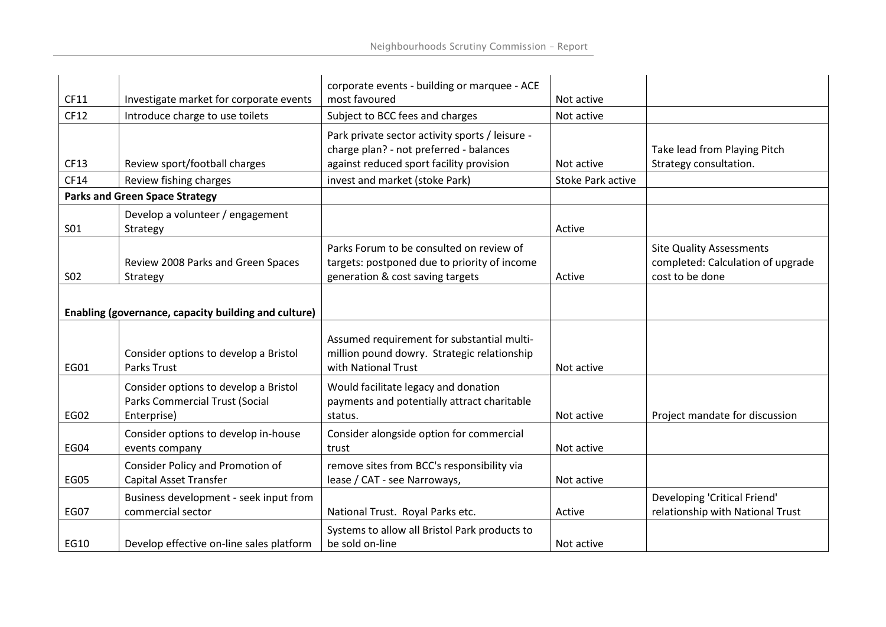| CF11        | Investigate market for corporate events                                                | corporate events - building or marquee - ACE<br>most favoured                                                                          | Not active               |                                                                                         |
|-------------|----------------------------------------------------------------------------------------|----------------------------------------------------------------------------------------------------------------------------------------|--------------------------|-----------------------------------------------------------------------------------------|
| CF12        | Introduce charge to use toilets                                                        | Subject to BCC fees and charges                                                                                                        | Not active               |                                                                                         |
| CF13        | Review sport/football charges                                                          | Park private sector activity sports / leisure -<br>charge plan? - not preferred - balances<br>against reduced sport facility provision | Not active               | Take lead from Playing Pitch<br>Strategy consultation.                                  |
| CF14        | Review fishing charges                                                                 | invest and market (stoke Park)                                                                                                         | <b>Stoke Park active</b> |                                                                                         |
|             | <b>Parks and Green Space Strategy</b>                                                  |                                                                                                                                        |                          |                                                                                         |
| <b>SO1</b>  | Develop a volunteer / engagement<br>Strategy                                           |                                                                                                                                        | Active                   |                                                                                         |
| <b>S02</b>  | Review 2008 Parks and Green Spaces<br>Strategy                                         | Parks Forum to be consulted on review of<br>targets: postponed due to priority of income<br>generation & cost saving targets           | Active                   | <b>Site Quality Assessments</b><br>completed: Calculation of upgrade<br>cost to be done |
|             | Enabling (governance, capacity building and culture)                                   |                                                                                                                                        |                          |                                                                                         |
| EG01        | Consider options to develop a Bristol<br><b>Parks Trust</b>                            | Assumed requirement for substantial multi-<br>million pound dowry. Strategic relationship<br>with National Trust                       | Not active               |                                                                                         |
| <b>EG02</b> | Consider options to develop a Bristol<br>Parks Commercial Trust (Social<br>Enterprise) | Would facilitate legacy and donation<br>payments and potentially attract charitable<br>status.                                         | Not active               | Project mandate for discussion                                                          |
| EG04        | Consider options to develop in-house<br>events company                                 | Consider alongside option for commercial<br>trust                                                                                      | Not active               |                                                                                         |
| <b>EG05</b> | Consider Policy and Promotion of<br>Capital Asset Transfer                             | remove sites from BCC's responsibility via<br>lease / CAT - see Narroways,                                                             | Not active               |                                                                                         |
| <b>EG07</b> | Business development - seek input from<br>commercial sector                            | National Trust. Royal Parks etc.                                                                                                       | Active                   | Developing 'Critical Friend'<br>relationship with National Trust                        |
| EG10        | Develop effective on-line sales platform                                               | Systems to allow all Bristol Park products to<br>be sold on-line                                                                       | Not active               |                                                                                         |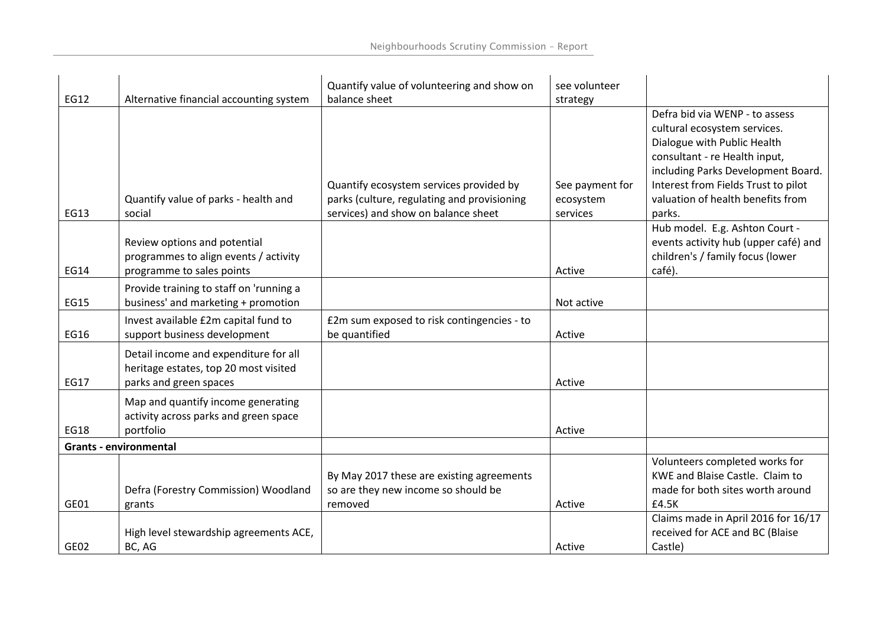|             |                                         | Quantify value of volunteering and show on  | see volunteer   |                                      |
|-------------|-----------------------------------------|---------------------------------------------|-----------------|--------------------------------------|
| EG12        | Alternative financial accounting system | balance sheet                               | strategy        |                                      |
|             |                                         |                                             |                 | Defra bid via WENP - to assess       |
|             |                                         |                                             |                 | cultural ecosystem services.         |
|             |                                         |                                             |                 | Dialogue with Public Health          |
|             |                                         |                                             |                 | consultant - re Health input,        |
|             |                                         |                                             |                 | including Parks Development Board.   |
|             |                                         | Quantify ecosystem services provided by     | See payment for | Interest from Fields Trust to pilot  |
|             | Quantify value of parks - health and    | parks (culture, regulating and provisioning | ecosystem       | valuation of health benefits from    |
| EG13        | social                                  | services) and show on balance sheet         | services        | parks.                               |
|             |                                         |                                             |                 | Hub model. E.g. Ashton Court -       |
|             | Review options and potential            |                                             |                 | events activity hub (upper café) and |
|             | programmes to align events / activity   |                                             |                 | children's / family focus (lower     |
| EG14        | programme to sales points               |                                             | Active          | café).                               |
|             | Provide training to staff on 'running a |                                             |                 |                                      |
| EG15        | business' and marketing + promotion     |                                             | Not active      |                                      |
|             | Invest available £2m capital fund to    | £2m sum exposed to risk contingencies - to  |                 |                                      |
| EG16        | support business development            | be quantified                               | Active          |                                      |
|             | Detail income and expenditure for all   |                                             |                 |                                      |
|             | heritage estates, top 20 most visited   |                                             |                 |                                      |
| <b>EG17</b> | parks and green spaces                  |                                             | Active          |                                      |
|             | Map and quantify income generating      |                                             |                 |                                      |
|             | activity across parks and green space   |                                             |                 |                                      |
| <b>EG18</b> | portfolio                               |                                             | Active          |                                      |
|             | <b>Grants - environmental</b>           |                                             |                 |                                      |
|             |                                         |                                             |                 | Volunteers completed works for       |
|             |                                         | By May 2017 these are existing agreements   |                 | KWE and Blaise Castle. Claim to      |
|             | Defra (Forestry Commission) Woodland    | so are they new income so should be         |                 | made for both sites worth around     |
| GE01        | grants                                  | removed                                     | Active          | £4.5K                                |
|             |                                         |                                             |                 | Claims made in April 2016 for 16/17  |
|             | High level stewardship agreements ACE,  |                                             |                 | received for ACE and BC (Blaise      |
| GE02        | BC, AG                                  |                                             | Active          | Castle)                              |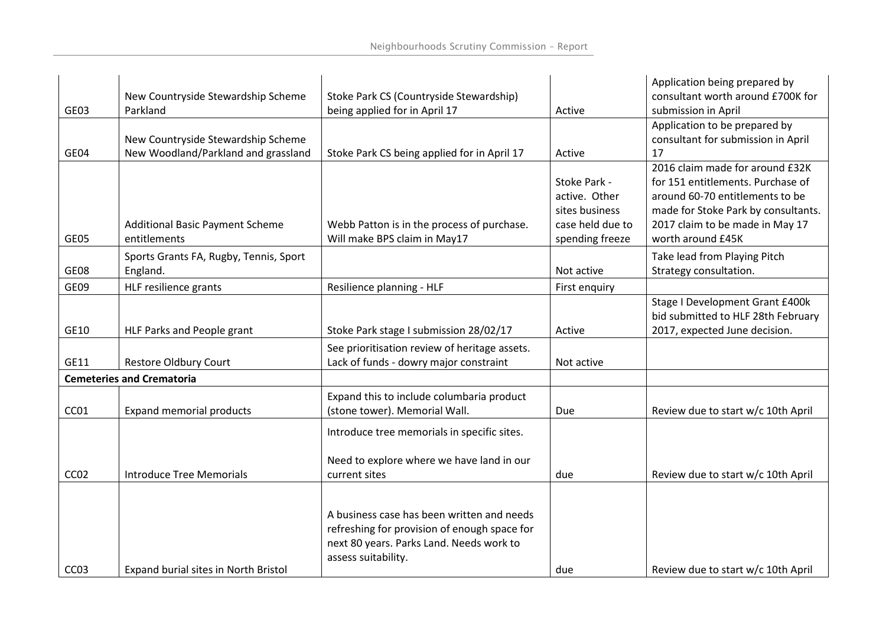| GE03             | New Countryside Stewardship Scheme<br>Parkland                            | Stoke Park CS (Countryside Stewardship)<br>being applied for in April 17                                                                                      | Active                                                                                 | Application being prepared by<br>consultant worth around £700K for<br>submission in April                                                                                                              |
|------------------|---------------------------------------------------------------------------|---------------------------------------------------------------------------------------------------------------------------------------------------------------|----------------------------------------------------------------------------------------|--------------------------------------------------------------------------------------------------------------------------------------------------------------------------------------------------------|
| GE04             | New Countryside Stewardship Scheme<br>New Woodland/Parkland and grassland | Stoke Park CS being applied for in April 17                                                                                                                   | Active                                                                                 | Application to be prepared by<br>consultant for submission in April<br>17                                                                                                                              |
| GE05             | <b>Additional Basic Payment Scheme</b><br>entitlements                    | Webb Patton is in the process of purchase.<br>Will make BPS claim in May17                                                                                    | Stoke Park -<br>active. Other<br>sites business<br>case held due to<br>spending freeze | 2016 claim made for around £32K<br>for 151 entitlements. Purchase of<br>around 60-70 entitlements to be<br>made for Stoke Park by consultants.<br>2017 claim to be made in May 17<br>worth around £45K |
| GE08             | Sports Grants FA, Rugby, Tennis, Sport<br>England.                        |                                                                                                                                                               | Not active                                                                             | Take lead from Playing Pitch<br>Strategy consultation.                                                                                                                                                 |
| GE09             | HLF resilience grants                                                     | Resilience planning - HLF                                                                                                                                     | First enquiry                                                                          |                                                                                                                                                                                                        |
| GE10             | HLF Parks and People grant                                                | Stoke Park stage I submission 28/02/17                                                                                                                        | Active                                                                                 | Stage I Development Grant £400k<br>bid submitted to HLF 28th February<br>2017, expected June decision.                                                                                                 |
| GE11             | Restore Oldbury Court                                                     | See prioritisation review of heritage assets.<br>Lack of funds - dowry major constraint                                                                       | Not active                                                                             |                                                                                                                                                                                                        |
|                  | <b>Cemeteries and Crematoria</b>                                          |                                                                                                                                                               |                                                                                        |                                                                                                                                                                                                        |
| CC <sub>01</sub> | <b>Expand memorial products</b>                                           | Expand this to include columbaria product<br>(stone tower). Memorial Wall.                                                                                    | Due                                                                                    | Review due to start w/c 10th April                                                                                                                                                                     |
| CC <sub>02</sub> | <b>Introduce Tree Memorials</b>                                           | Introduce tree memorials in specific sites.<br>Need to explore where we have land in our<br>current sites                                                     | due                                                                                    | Review due to start w/c 10th April                                                                                                                                                                     |
| CC <sub>03</sub> | Expand burial sites in North Bristol                                      | A business case has been written and needs<br>refreshing for provision of enough space for<br>next 80 years. Parks Land. Needs work to<br>assess suitability. | due                                                                                    | Review due to start w/c 10th April                                                                                                                                                                     |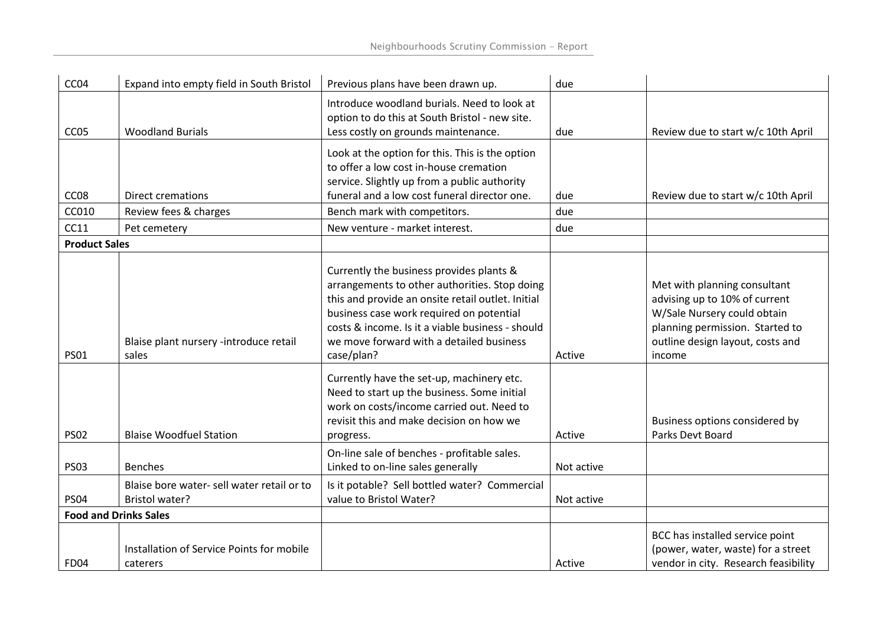| CC <sub>04</sub>          | Expand into empty field in South Bristol                    | Previous plans have been drawn up.                                                                                                                                                                                                                                                                       | due        |                                                                                                                                                                               |
|---------------------------|-------------------------------------------------------------|----------------------------------------------------------------------------------------------------------------------------------------------------------------------------------------------------------------------------------------------------------------------------------------------------------|------------|-------------------------------------------------------------------------------------------------------------------------------------------------------------------------------|
| CC <sub>05</sub>          | <b>Woodland Burials</b>                                     | Introduce woodland burials. Need to look at<br>option to do this at South Bristol - new site.<br>Less costly on grounds maintenance.                                                                                                                                                                     | due        | Review due to start w/c 10th April                                                                                                                                            |
|                           |                                                             | Look at the option for this. This is the option<br>to offer a low cost in-house cremation<br>service. Slightly up from a public authority<br>funeral and a low cost funeral director one.                                                                                                                |            |                                                                                                                                                                               |
| CC <sub>08</sub><br>CC010 | <b>Direct cremations</b><br>Review fees & charges           | Bench mark with competitors.                                                                                                                                                                                                                                                                             | due<br>due | Review due to start w/c 10th April                                                                                                                                            |
| CC11                      | Pet cemetery                                                | New venture - market interest.                                                                                                                                                                                                                                                                           | due        |                                                                                                                                                                               |
| <b>Product Sales</b>      |                                                             |                                                                                                                                                                                                                                                                                                          |            |                                                                                                                                                                               |
| <b>PS01</b>               | Blaise plant nursery -introduce retail<br>sales             | Currently the business provides plants &<br>arrangements to other authorities. Stop doing<br>this and provide an onsite retail outlet. Initial<br>business case work required on potential<br>costs & income. Is it a viable business - should<br>we move forward with a detailed business<br>case/plan? | Active     | Met with planning consultant<br>advising up to 10% of current<br>W/Sale Nursery could obtain<br>planning permission. Started to<br>outline design layout, costs and<br>income |
| <b>PS02</b>               | <b>Blaise Woodfuel Station</b>                              | Currently have the set-up, machinery etc.<br>Need to start up the business. Some initial<br>work on costs/income carried out. Need to<br>revisit this and make decision on how we<br>progress.                                                                                                           | Active     | Business options considered by<br>Parks Devt Board                                                                                                                            |
| <b>PS03</b>               | <b>Benches</b>                                              | On-line sale of benches - profitable sales.<br>Linked to on-line sales generally                                                                                                                                                                                                                         | Not active |                                                                                                                                                                               |
| <b>PS04</b>               | Blaise bore water-sell water retail or to<br>Bristol water? | Is it potable? Sell bottled water? Commercial<br>value to Bristol Water?                                                                                                                                                                                                                                 | Not active |                                                                                                                                                                               |
|                           | <b>Food and Drinks Sales</b>                                |                                                                                                                                                                                                                                                                                                          |            |                                                                                                                                                                               |
| <b>FD04</b>               | Installation of Service Points for mobile<br>caterers       |                                                                                                                                                                                                                                                                                                          | Active     | BCC has installed service point<br>(power, water, waste) for a street<br>vendor in city. Research feasibility                                                                 |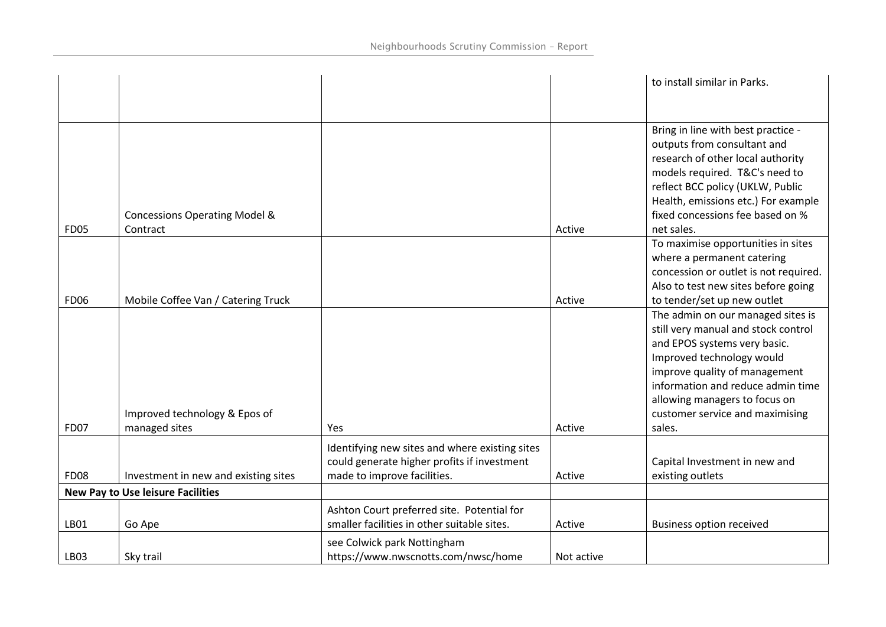|             |                                                |                                                                                                                              |            | to install similar in Parks.                                                                                                                                                                                                                                                              |
|-------------|------------------------------------------------|------------------------------------------------------------------------------------------------------------------------------|------------|-------------------------------------------------------------------------------------------------------------------------------------------------------------------------------------------------------------------------------------------------------------------------------------------|
|             | <b>Concessions Operating Model &amp;</b>       |                                                                                                                              |            | Bring in line with best practice -<br>outputs from consultant and<br>research of other local authority<br>models required. T&C's need to<br>reflect BCC policy (UKLW, Public<br>Health, emissions etc.) For example<br>fixed concessions fee based on %                                   |
| <b>FD05</b> | Contract                                       |                                                                                                                              | Active     | net sales.                                                                                                                                                                                                                                                                                |
| <b>FD06</b> | Mobile Coffee Van / Catering Truck             |                                                                                                                              | Active     | To maximise opportunities in sites<br>where a permanent catering<br>concession or outlet is not required.<br>Also to test new sites before going<br>to tender/set up new outlet                                                                                                           |
| <b>FD07</b> | Improved technology & Epos of<br>managed sites | Yes                                                                                                                          | Active     | The admin on our managed sites is<br>still very manual and stock control<br>and EPOS systems very basic.<br>Improved technology would<br>improve quality of management<br>information and reduce admin time<br>allowing managers to focus on<br>customer service and maximising<br>sales. |
| <b>FD08</b> | Investment in new and existing sites           | Identifying new sites and where existing sites<br>could generate higher profits if investment<br>made to improve facilities. | Active     | Capital Investment in new and<br>existing outlets                                                                                                                                                                                                                                         |
|             | <b>New Pay to Use leisure Facilities</b>       |                                                                                                                              |            |                                                                                                                                                                                                                                                                                           |
| LB01        | Go Ape                                         | Ashton Court preferred site. Potential for<br>smaller facilities in other suitable sites.                                    | Active     | <b>Business option received</b>                                                                                                                                                                                                                                                           |
| LB03        | Sky trail                                      | see Colwick park Nottingham<br>https://www.nwscnotts.com/nwsc/home                                                           | Not active |                                                                                                                                                                                                                                                                                           |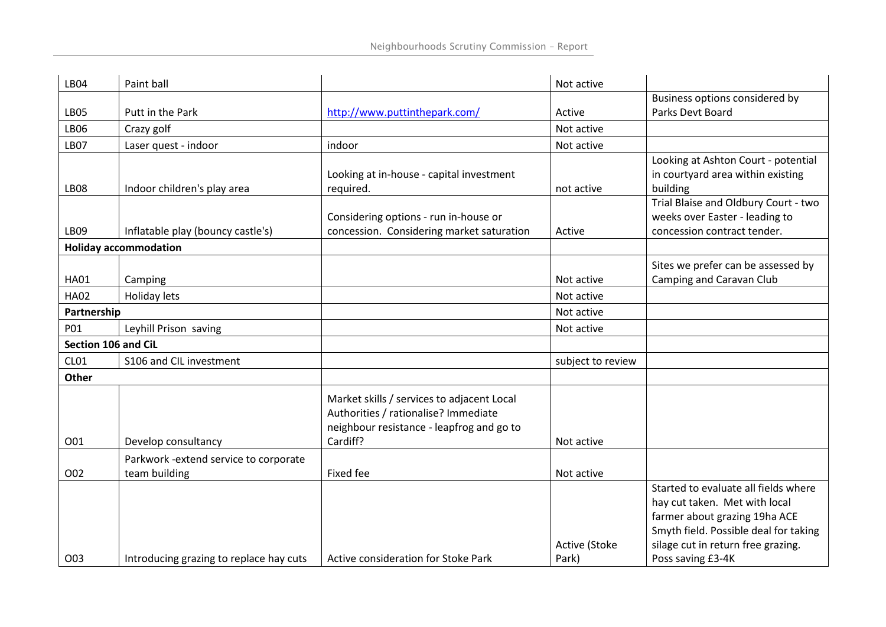| <b>LB04</b>         | Paint ball                              |                                                                                                                                             | Not active             |                                                                                                                                                                                                            |
|---------------------|-----------------------------------------|---------------------------------------------------------------------------------------------------------------------------------------------|------------------------|------------------------------------------------------------------------------------------------------------------------------------------------------------------------------------------------------------|
|                     |                                         |                                                                                                                                             |                        | Business options considered by                                                                                                                                                                             |
| <b>LB05</b>         | Putt in the Park                        | http://www.puttinthepark.com/                                                                                                               | Active                 | Parks Devt Board                                                                                                                                                                                           |
| <b>LB06</b>         | Crazy golf                              |                                                                                                                                             | Not active             |                                                                                                                                                                                                            |
| LB07                | Laser quest - indoor                    | indoor                                                                                                                                      | Not active             |                                                                                                                                                                                                            |
| LB <sub>08</sub>    | Indoor children's play area             | Looking at in-house - capital investment<br>required.                                                                                       | not active             | Looking at Ashton Court - potential<br>in courtyard area within existing<br>building                                                                                                                       |
| LB09                | Inflatable play (bouncy castle's)       | Considering options - run in-house or<br>concession. Considering market saturation                                                          | Active                 | Trial Blaise and Oldbury Court - two<br>weeks over Easter - leading to<br>concession contract tender.                                                                                                      |
|                     | <b>Holiday accommodation</b>            |                                                                                                                                             |                        |                                                                                                                                                                                                            |
| <b>HA01</b>         | Camping                                 |                                                                                                                                             | Not active             | Sites we prefer can be assessed by<br>Camping and Caravan Club                                                                                                                                             |
| <b>HA02</b>         | Holiday lets                            |                                                                                                                                             | Not active             |                                                                                                                                                                                                            |
| Partnership         |                                         |                                                                                                                                             | Not active             |                                                                                                                                                                                                            |
| P01                 | Leyhill Prison saving                   |                                                                                                                                             | Not active             |                                                                                                                                                                                                            |
| Section 106 and CiL |                                         |                                                                                                                                             |                        |                                                                                                                                                                                                            |
| CL01                | S106 and CIL investment                 |                                                                                                                                             | subject to review      |                                                                                                                                                                                                            |
| Other               |                                         |                                                                                                                                             |                        |                                                                                                                                                                                                            |
| O01                 | Develop consultancy                     | Market skills / services to adjacent Local<br>Authorities / rationalise? Immediate<br>neighbour resistance - leapfrog and go to<br>Cardiff? | Not active             |                                                                                                                                                                                                            |
|                     | Parkwork - extend service to corporate  |                                                                                                                                             |                        |                                                                                                                                                                                                            |
| O02                 | team building                           | Fixed fee                                                                                                                                   | Not active             |                                                                                                                                                                                                            |
| O03                 | Introducing grazing to replace hay cuts | Active consideration for Stoke Park                                                                                                         | Active (Stoke<br>Park) | Started to evaluate all fields where<br>hay cut taken. Met with local<br>farmer about grazing 19ha ACE<br>Smyth field. Possible deal for taking<br>silage cut in return free grazing.<br>Poss saving £3-4K |